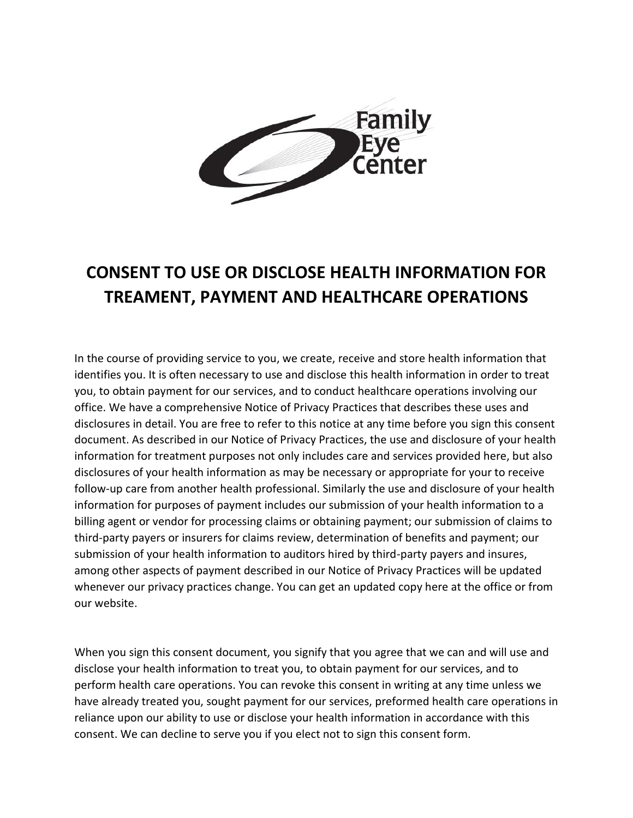

## **CONSENT TO USE OR DISCLOSE HEALTH INFORMATION FOR TREAMENT, PAYMENT AND HEALTHCARE OPERATIONS**

In the course of providing service to you, we create, receive and store health information that identifies you. It is often necessary to use and disclose this health information in order to treat you, to obtain payment for our services, and to conduct healthcare operations involving our office. We have a comprehensive Notice of Privacy Practices that describes these uses and disclosures in detail. You are free to refer to this notice at any time before you sign this consent document. As described in our Notice of Privacy Practices, the use and disclosure of your health information for treatment purposes not only includes care and services provided here, but also disclosures of your health information as may be necessary or appropriate for your to receive follow-up care from another health professional. Similarly the use and disclosure of your health information for purposes of payment includes our submission of your health information to a billing agent or vendor for processing claims or obtaining payment; our submission of claims to third-party payers or insurers for claims review, determination of benefits and payment; our submission of your health information to auditors hired by third-party payers and insures, among other aspects of payment described in our Notice of Privacy Practices will be updated whenever our privacy practices change. You can get an updated copy here at the office or from our website.

When you sign this consent document, you signify that you agree that we can and will use and disclose your health information to treat you, to obtain payment for our services, and to perform health care operations. You can revoke this consent in writing at any time unless we have already treated you, sought payment for our services, preformed health care operations in reliance upon our ability to use or disclose your health information in accordance with this consent. We can decline to serve you if you elect not to sign this consent form.